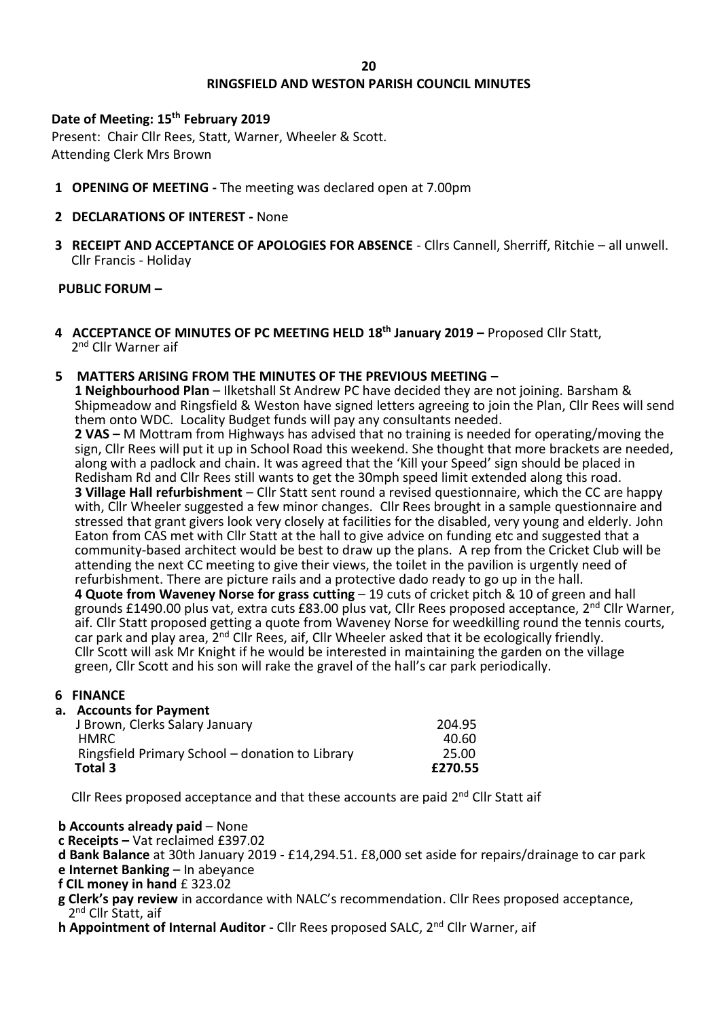#### **20**

# **RINGSFIELD AND WESTON PARISH COUNCIL MINUTES**

## **Date of Meeting: 15th February 2019**

Present: Chair Cllr Rees, Statt, Warner, Wheeler & Scott. Attending Clerk Mrs Brown

- **1 OPENING OF MEETING -** The meeting was declared open at 7.00pm
- **2 DECLARATIONS OF INTEREST -** None
- **3 RECEIPT AND ACCEPTANCE OF APOLOGIES FOR ABSENCE** Cllrs Cannell, Sherriff, Ritchie all unwell. Cllr Francis - Holiday

# **PUBLIC FORUM –**

**4 ACCEPTANCE OF MINUTES OF PC MEETING HELD 18th January 2019 –** Proposed Cllr Statt, 2<sup>nd</sup> Cllr Warner aif

## **5 MATTERS ARISING FROM THE MINUTES OF THE PREVIOUS MEETING –**

 **1 Neighbourhood Plan** – Ilketshall St Andrew PC have decided they are not joining. Barsham & Shipmeadow and Ringsfield & Weston have signed letters agreeing to join the Plan, Cllr Rees will send them onto WDC. Locality Budget funds will pay any consultants needed.

 **2 VAS –** M Mottram from Highways has advised that no training is needed for operating/moving the sign, Cllr Rees will put it up in School Road this weekend. She thought that more brackets are needed, along with a padlock and chain. It was agreed that the 'Kill your Speed' sign should be placed in Redisham Rd and Cllr Rees still wants to get the 30mph speed limit extended along this road. **3 Village Hall refurbishment** – Cllr Statt sent round a revised questionnaire, which the CC are happy with, Cllr Wheeler suggested a few minor changes. Cllr Rees brought in a sample questionnaire and stressed that grant givers look very closely at facilities for the disabled, very young and elderly. John Eaton from CAS met with Cllr Statt at the hall to give advice on funding etc and suggested that a community-based architect would be best to draw up the plans. A rep from the Cricket Club will be attending the next CC meeting to give their views, the toilet in the pavilion is urgently need of refurbishment. There are picture rails and a protective dado ready to go up in the hall. **4 Quote from Waveney Norse for grass cutting** – 19 cuts of cricket pitch & 10 of green and hall grounds £1490.00 plus vat, extra cuts £83.00 plus vat, Cllr Rees proposed acceptance, 2nd Cllr Warner, aif. Cllr Statt proposed getting a quote from Waveney Norse for weedkilling round the tennis courts, car park and play area, 2<sup>nd</sup> Cllr Rees, aif, Cllr Wheeler asked that it be ecologically friendly. Cllr Scott will ask Mr Knight if he would be interested in maintaining the garden on the village green, Cllr Scott and his son will rake the gravel of the hall's car park periodically.

## **6 FINANCE**

## **a. Accounts for Payment**

| Total 3                                         | £270.55 |
|-------------------------------------------------|---------|
| Ringsfield Primary School – donation to Library | 25.00   |
| <b>HMRC</b>                                     | 40.60   |
| J Brown, Clerks Salary January                  | 204.95  |

Cllr Rees proposed acceptance and that these accounts are paid  $2^{nd}$  Cllr Statt aif

## **b Accounts already paid** – None

- **c Receipts –** Vat reclaimed £397.02
- **d Bank Balance** at 30th January 2019 £14,294.51. £8,000 set aside for repairs/drainage to car park **e Internet Banking** – In abeyance
- **f CIL money in hand** £ 323.02
- 
- **g Clerk's pay review** in accordance with NALC's recommendation. Cllr Rees proposed acceptance, 2<sup>nd</sup> Cllr Statt, aif
- **h Appointment of Internal Auditor Cllr Rees proposed SALC, 2<sup>nd</sup> Cllr Warner, aif**